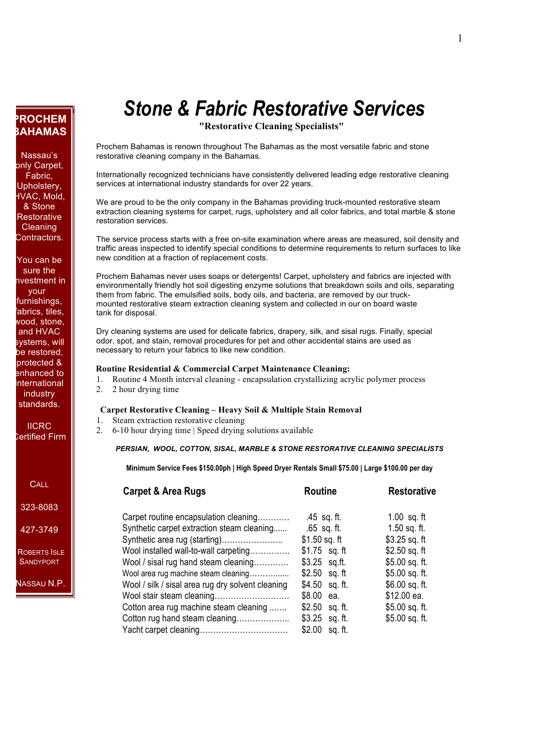# **PROCHEM BAHAMAS**

Nassau's only Carpet, Fabric, Upholstery, HVAC, Mold, & Stone **Restorative Cleaning** Contractors.

You can be sure the nvestment in your furnishings, fabrics, tiles, wood, stone, and HVAC systems, will be restored, protected & enhanced to international industry standards.

IICRC Certified Firm

**CALL** 

323-8083

427-3749

ROBERTS ISLE **SANDYPORT** 

NASSAU N.P.

# *Stone & Fabric Restorative Services*

**"Restorative Cleaning Specialists"**

Prochem Bahamas is renown throughout The Bahamas as the most versatile fabric and stone restorative cleaning company in the Bahamas.

Internationally recognized technicians have consistently delivered leading edge restorative cleaning services at international industry standards for over 22 years.

We are proud to be the only company in the Bahamas providing truck-mounted restorative steam extraction cleaning systems for carpet, rugs, upholstery and all color fabrics, and total marble & stone restoration services.

The service process starts with a free on-site examination where areas are measured, soil density and traffic areas inspected to identify special conditions to determine requirements to return surfaces to like new condition at a fraction of replacement costs.

Prochem Bahamas never uses soaps or detergents! Carpet, upholstery and fabrics are injected with environmentally friendly hot soil digesting enzyme solutions that breakdown soils and oils, separating them from fabric. The emulsified soils, body oils, and bacteria, are removed by our truckmounted restorative steam extraction cleaning system and collected in our on board waste tank for disposal.

Dry cleaning systems are used for delicate fabrics, drapery, silk, and sisal rugs. Finally, special odor, spot, and stain, removal procedures for pet and other accidental stains are used as necessary to return your fabrics to like new condition.

#### **Routine Residential & Commercial Carpet Maintenance Cleaning:**

- 1. Routine 4 Month interval cleaning encapsulation crystallizing acrylic polymer process
- 2. 2 hour drying time

#### **Carpet Restorative Cleaning – Heavy Soil & Multiple Stain Removal**

- 1. Steam extraction restorative cleaning
- 2. 6-10 hour drying time | Speed drying solutions available

#### *PERSIAN, WOOL, COTTON, SISAL, MARBLE & STONE RESTORATIVE CLEANING SPECIALISTS*

**Minimum Service Fees \$150.00ph | High Speed Dryer Rentals Small \$75.00 | Large \$100.00 per day**

| <b>Carpet &amp; Area Rugs</b>                     | <b>Routine</b>  | <b>Restorative</b> |
|---------------------------------------------------|-----------------|--------------------|
| Carpet routine encapsulation cleaning             | $.45$ sq. ft.   | $1.00$ sq. ft      |
| Synthetic carpet extraction steam cleaning        | $.65$ sq. ft.   | $1.50$ sq. ft.     |
| Synthetic area rug (starting)                     | $$1.50$ sq. ft  | $$3.25$ sq. ft     |
| Wool installed wall-to-wall carpeting             | $$1.75$ sq. ft  | $$2.50$ sq. ft     |
| Wool / sisal rug hand steam cleaning              | $$3.25$ sq.ft.  | $$5.00$ sq. ft.    |
| Wool area rug machine steam cleaning              | $$2.50$ sq. ft  | $$5.00$ sq. ft.    |
| Wool / silk / sisal area rug dry solvent cleaning | $$4.50$ sq. ft. | $$6.00$ sq. ft.    |
| Wool stair steam cleaning                         | \$8.00 ea.      | \$12.00 ea.        |
| Cotton area rug machine steam cleaning            | $$2.50$ sq. ft. | $$5.00$ sq. ft.    |
| Cotton rug hand steam cleaning                    | $$3.25$ sq. ft. | $$5.00$ sq. ft.    |
|                                                   | $$2.00$ sq. ft. |                    |
|                                                   |                 |                    |